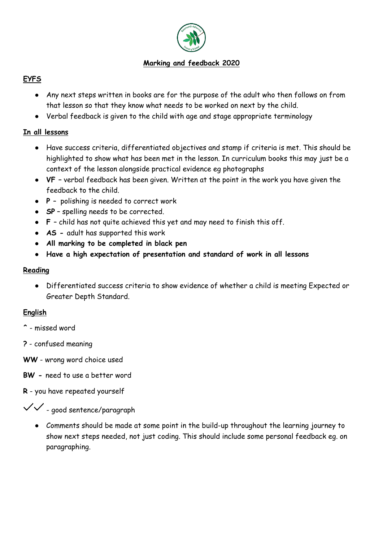

## **Marking and feedback 2020**

# **EYFS**

- Any next steps written in books are for the purpose of the adult who then follows on from that lesson so that they know what needs to be worked on next by the child.
- Verbal feedback is given to the child with age and stage appropriate terminology

# **In all lessons**

- Have success criteria, differentiated objectives and stamp if criteria is met. This should be highlighted to show what has been met in the lesson. In curriculum books this may just be a context of the lesson alongside practical evidence eg photographs
- **VF –** verbal feedback has been given. Written at the point in the work you have given the feedback to the child.
- **P**  polishing is needed to correct work
- **SP** spelling needs to be corrected.
- **F**  child has not quite achieved this yet and may need to finish this off.
- **AS -** adult has supported this work
- **All marking to be completed in black pen**
- **Have a high expectation of presentation and standard of work in all lessons**

#### **Reading**

● Differentiated success criteria to show evidence of whether a child is meeting Expected or Greater Depth Standard.

### **English**

- **^** missed word
- **?** confused meaning
- **WW** wrong word choice used
- **BW -** need to use a better word
- **R** you have repeated yourself

 $\checkmark$  - good sentence/paragraph

● Comments should be made at some point in the build-up throughout the learning journey to show next steps needed, not just coding. This should include some personal feedback eg. on paragraphing.